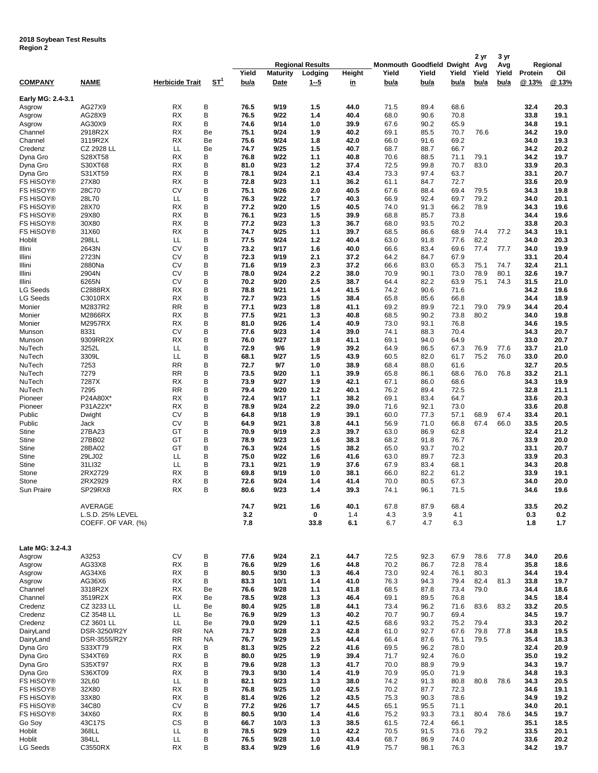## **2018 Soybean Test Results Region 2**

|                                    |                       |                        |           |              |                                                       |            |              |                                           | 2 yr         | 3 yr         |              |              |                            |              |
|------------------------------------|-----------------------|------------------------|-----------|--------------|-------------------------------------------------------|------------|--------------|-------------------------------------------|--------------|--------------|--------------|--------------|----------------------------|--------------|
|                                    |                       |                        |           | Yield        | <b>Regional Results</b><br><b>Maturity</b><br>Lodging |            | Height       | <b>Monmouth Goodfield Dwight</b><br>Yield | Yield        | Yield        | Avg<br>Yield | Avg<br>Yield | Regional<br>Protein<br>Oil |              |
| <b>COMPANY</b>                     | <b>NAME</b>           | <b>Herbicide Trait</b> | ST'       | bu/a         | Date                                                  | $1 - 5$    | <u>in</u>    | bu/a                                      | bu/a         | bu/a         | bu/a         | bu/a         | @ 13%                      | @ 13%        |
| Early MG: 2.4-3.1                  |                       |                        |           |              |                                                       |            |              |                                           |              |              |              |              |                            |              |
| Asgrow                             | AG27X9                | <b>RX</b>              | B         | 76.5         | 9/19                                                  | 1.5        | 44.0         | 71.5                                      | 89.4         | 68.6         |              |              | 32.4                       | 20.3         |
| Asgrow                             | AG28X9                | <b>RX</b>              | B         | 76.5         | 9/22                                                  | 1.4        | 40.4         | 68.0                                      | 90.6         | 70.8         |              |              | 33.8                       | 19.1         |
| Asgrow<br>Channel                  | AG30X9<br>2918R2X     | RX<br><b>RX</b>        | B<br>Be   | 74.6<br>75.1 | 9/14<br>9/24                                          | 1.0<br>1.9 | 39.9<br>40.2 | 67.6<br>69.1                              | 90.2<br>85.5 | 65.9<br>70.7 | 76.6         |              | 34.8<br>34.2               | 19.1<br>19.0 |
| Channel                            | 3119R2X               | RX                     | Be        | 75.6         | 9/24                                                  | 1.8        | 42.0         | 66.0                                      | 91.6         | 69.2         |              |              | 34.0                       | 19.3         |
| Credenz                            | CZ 2928 LL            | LL                     | Be        | 74.7         | 9/25                                                  | 1.5        | 40.7         | 68.7                                      | 88.7         | 66.7         |              |              | 34.2                       | 20.2         |
| Dyna Gro                           | S28XT58               | <b>RX</b>              | B         | 76.8         | 9/22                                                  | 1.1        | 40.8         | 70.6                                      | 88.5         | 71.1         | 79.1         |              | 34.2                       | 19.7         |
| Dyna Gro                           | S30XT68               | RX                     | B         | 81.0         | 9/23                                                  | 1.2        | 37.4         | 72.5                                      | 99.8         | 70.7         | 83.0         |              | 33.9                       | 20.3         |
| Dyna Gro<br>FS HiSOY®              | S31XT59<br>27X80      | RX<br><b>RX</b>        | B<br>B    | 78.1<br>72.8 | 9/24<br>9/23                                          | 2.1<br>1.1 | 43.4<br>36.2 | 73.3<br>61.1                              | 97.4<br>84.7 | 63.7<br>72.7 |              |              | 33.1<br>33.6               | 20.7<br>20.9 |
| FS HiSOY <sup>®</sup>              | 28C70                 | CV                     | B         | 75.1         | 9/26                                                  | 2.0        | 40.5         | 67.6                                      | 88.4         | 69.4         | 79.5         |              | 34.3                       | 19.8         |
| FS HiSOY <sup>®</sup>              | 28L70                 | LL                     | B         | 76.3         | 9/22                                                  | 1.7        | 40.3         | 66.9                                      | 92.4         | 69.7         | 79.2         |              | 34.0                       | 20.1         |
| FS HiSOY®                          | 28X70                 | <b>RX</b>              | B         | 77.2         | 9/20                                                  | 1.5        | 40.5         | 74.0                                      | 91.3         | 66.2         | 78.9         |              | 34.3                       | 19.6         |
| FS HiSOY <sup>®</sup>              | 29X80                 | RX                     | B         | 76.1         | 9/23                                                  | 1.5        | 39.9         | 68.8                                      | 85.7         | 73.8         |              |              | 34.4                       | 19.6         |
| FS HiSOY <sup>®</sup><br>FS HiSOY® | 30X80<br>31X60        | RX<br>RX               | B<br>B    | 77.2<br>74.7 | 9/23<br>9/25                                          | 1.3<br>1.1 | 36.7<br>39.7 | 68.0<br>68.5                              | 93.5<br>86.6 | 70.2<br>68.9 | 74.4         | 77.2         | 33.8<br>34.3               | 20.3<br>19.1 |
| Hoblit                             | 298LL                 | LL                     | B         | 77.5         | 9/24                                                  | 1.2        | 40.4         | 63.0                                      | 91.8         | 77.6         | 82.2         |              | 34.0                       | 20.3         |
| Illini                             | 2643N                 | CV                     | B         | 73.2         | 9/17                                                  | 1.6        | 40.0         | 66.6                                      | 83.4         | 69.6         | 77.4         | 77.7         | 34.0                       | 19.9         |
| Illini                             | 2723N                 | CV                     | B         | 72.3         | 9/19                                                  | 2.1        | 37.2         | 64.2                                      | 84.7         | 67.9         |              |              | 33.1                       | 20.4         |
| Illini                             | 2880Na                | CV                     | B         | 71.6         | 9/19                                                  | 2.3        | 37.2         | 66.6                                      | 83.0         | 65.3         | 75.1         | 74.7         | 32.4                       | 21.1         |
| Illini<br>Illini                   | 2904N<br>6265N        | CV<br>CV               | В<br>B    | 78.0<br>70.2 | 9/24<br>9/20                                          | 2.2<br>2.5 | 38.0<br>38.7 | 70.9<br>64.4                              | 90.1<br>82.2 | 73.0<br>63.9 | 78.9<br>75.1 | 80.1<br>74.3 | 32.6<br>31.5               | 19.7<br>21.0 |
| LG Seeds                           | C2888RX               | RX                     | В         | 78.8         | 9/21                                                  | 1.4        | 41.5         | 74.2                                      | 90.6         | 71.6         |              |              | 34.2                       | 19.6         |
| LG Seeds                           | C3010RX               | RX                     | B         | 72.7         | 9/23                                                  | 1.5        | 38.4         | 65.8                                      | 85.6         | 66.8         |              |              | 34.4                       | 18.9         |
| Monier                             | M2837R2               | <b>RR</b>              | B         | 77.1         | 9/23                                                  | 1.8        | 41.1         | 69.2                                      | 89.9         | 72.1         | 79.0         | 79.9         | 34.4                       | 20.4         |
| Monier                             | M2866RX               | RX                     | B<br>B    | 77.5         | 9/21                                                  | 1.3        | 40.8         | 68.5                                      | 90.2         | 73.8         | 80.2         |              | 34.0                       | 19.8         |
| Monier<br>Munson                   | M2957RX<br>8331       | RX<br>CV               | B         | 81.0<br>77.6 | 9/26<br>9/23                                          | 1.4<br>1.4 | 40.9<br>39.0 | 73.0<br>74.1                              | 93.1<br>88.3 | 76.8<br>70.4 |              |              | 34.6<br>34.3               | 19.5<br>20.7 |
| Munson                             | 9309RR2X              | RX                     | B         | 76.0         | 9/27                                                  | 1.8        | 41.1         | 69.1                                      | 94.0         | 64.9         |              |              | 33.0                       | 20.7         |
| NuTech                             | 3252L                 | LL                     | B         | 72.9         | 9/6                                                   | 1.9        | 39.2         | 64.9                                      | 86.5         | 67.3         | 76.9         | 77.6         | 33.7                       | 21.0         |
| NuTech                             | 3309L                 | LL                     | B         | 68.1         | 9/27                                                  | 1.5        | 43.9         | 60.5                                      | 82.0         | 61.7         | 75.2         | 76.0         | 33.0                       | 20.0         |
| NuTech                             | 7253<br>7279          | <b>RR</b><br><b>RR</b> | B<br>B    | 72.7<br>73.5 | 9/7<br>9/20                                           | 1.0        | 38.9<br>39.9 | 68.4                                      | 88.0<br>86.1 | 61.6<br>68.6 | 76.0         | 76.8         | 32.7<br>33.2               | 20.5<br>21.1 |
| NuTech<br>NuTech                   | 7287X                 | RX                     | B         | 73.9         | 9/27                                                  | 1.1<br>1.9 | 42.1         | 65.8<br>67.1                              | 86.0         | 68.6         |              |              | 34.3                       | 19.9         |
| NuTech                             | 7295                  | <b>RR</b>              | B         | 79.4         | 9/20                                                  | 1.2        | 40.1         | 76.2                                      | 89.4         | 72.5         |              |              | 32.8                       | 21.1         |
| Pioneer                            | P24A80X*              | RX                     | B         | 72.4         | 9/17                                                  | 1.1        | 38.2         | 69.1                                      | 83.4         | 64.7         |              |              | 33.6                       | 20.3         |
| Pioneer                            | P31A22X*              | RX                     | B         | 78.9         | 9/24                                                  | 2.2        | 39.0         | 71.6                                      | 92.1         | 73.0         |              |              | 33.6                       | 20.8         |
| Public<br>Public                   | Dwight<br>Jack        | CV<br>CV               | B<br>B    | 64.8<br>64.9 | 9/18<br>9/21                                          | 1.9<br>3.8 | 39.1<br>44.1 | 60.0<br>56.9                              | 77.3<br>71.0 | 57.1<br>66.8 | 68.9<br>67.4 | 67.4<br>66.0 | 33.4<br>33.5               | 20.1<br>20.5 |
| Stine                              | 27BA23                | GT                     | в         | 70.9         | 9/19                                                  | 2.3        | 39.7         | 63.0                                      | 86.9         | 62.8         |              |              | 32.4                       | 21.2         |
| Stine                              | 27BB02                | GT                     | B         | 78.9         | 9/23                                                  | 1.6        | 38.3         | 68.2                                      | 91.8         | 76.7         |              |              | 33.9                       | 20.0         |
| Stine                              | 28BA02                | GT                     | В         | 76.3         | 9/24                                                  | 1.5        | 38.2         | 65.0                                      | 93.7         | 70.2         |              |              | 33.1                       | 20.7         |
| Stine                              | 29LJ02                | LL                     | B         | 75.0         | 9/22                                                  | 1.6        | 41.6         | 63.0                                      | 89.7         | 72.3         |              |              | 33.9                       | 20.3         |
| Stine<br>Stone                     | 31LI32<br>2RX2729     | LL<br>RX               | B<br>В    | 73.1<br>69.8 | 9/21<br>9/19                                          | 1.9<br>1.0 | 37.6<br>38.1 | 67.9<br>66.0                              | 83.4<br>82.2 | 68.1<br>61.2 |              |              | 34.3<br>33.9               | 20.8<br>19.1 |
| Stone                              | 2RX2929               | RX                     | B         | 72.6         | 9/24                                                  | 1.4        | 41.4         | 70.0                                      | 80.5         | 67.3         |              |              | 34.0                       | 20.0         |
| Sun Praire                         | SP29RX8               | RX                     | в         | 80.6         | 9/23                                                  | 1.4        | 39.3         | 74.1                                      | 96.1         | 71.5         |              |              | 34.6                       | 19.6         |
|                                    | AVERAGE               |                        |           | 74.7         | 9/21                                                  | 1.6        | 40.1         | 67.8                                      | 87.9         | 68.4         |              |              | 33.5                       | 20.2         |
|                                    | L.S.D. 25% LEVEL      |                        |           | 3.2          |                                                       | 0          | 1.4          | 4.3                                       | 3.9          | 4.1          |              |              | 0.3                        | 0.2          |
|                                    | COEFF. OF VAR. (%)    |                        |           | 7.8          |                                                       | 33.8       | 6.1          | 6.7                                       | 4.7          | 6.3          |              |              | 1.8                        | 1.7          |
|                                    |                       |                        |           |              |                                                       |            |              |                                           |              |              |              |              |                            |              |
| Late MG: 3.2-4.3<br>Asgrow         | A3253                 | CV                     | B         | 77.6         | 9/24                                                  | 2.1        | 44.7         | 72.5                                      | 92.3         | 67.9         | 78.6         | 77.8         | 34.0                       | 20.6         |
| Asgrow                             | AG33X8                | <b>RX</b>              | B         | 76.6         | 9/29                                                  | 1.6        | 44.8         | 70.2                                      | 86.7         | 72.8         | 78.4         |              | 35.8                       | 18.6         |
| Asgrow                             | AG34X6                | <b>RX</b>              | B         | 80.5         | 9/30                                                  | 1.3        | 46.4         | 73.0                                      | 92.4         | 76.1         | 80.3         |              | 34.4                       | 19.4         |
| Asgrow                             | AG36X6                | <b>RX</b>              | B         | 83.3         | 10/1                                                  | 1.4        | 41.0         | 76.3                                      | 94.3         | 79.4         | 82.4         | 81.3         | 33.8                       | 19.7         |
| Channel                            | 3318R2X               | <b>RX</b>              | Be        | 76.6         | 9/28                                                  | 1.1        | 41.8         | 68.5                                      | 87.8         | 73.4         | 79.0         |              | 34.4                       | 18.6         |
| Channel<br>Credenz                 | 3519R2X<br>CZ 3233 LL | RX<br>LL               | Be<br>Be  | 78.5<br>80.4 | 9/28<br>9/25                                          | 1.3<br>1.8 | 46.4<br>44.1 | 69.1<br>73.4                              | 89.5<br>96.2 | 76.8<br>71.6 | 83.6         | 83.2         | 34.5<br>33.2               | 18.4<br>20.5 |
| Credenz                            | CZ 3548 LL            | LL                     | Be        | 76.9         | 9/29                                                  | 1.3        | 40.2         | 70.7                                      | 90.7         | 69.4         |              |              | 34.5                       | 19.7         |
| Credenz                            | CZ 3601 LL            | LL                     | Be        | 79.0         | 9/29                                                  | 1.1        | 42.5         | 68.6                                      | 93.2         | 75.2         | 79.4         |              | 33.3                       | 20.2         |
| DairyLand                          | DSR-3250/R2Y          | <b>RR</b>              | <b>NA</b> | 73.7         | 9/28                                                  | 2.3        | 42.8         | 61.0                                      | 92.7         | 67.6         | 79.8         | 77.8         | 34.8                       | 19.5         |
| DairyLand                          | DSR-3555/R2Y          | <b>RR</b>              | <b>NA</b> | 76.7         | 9/29                                                  | 1.5        | 44.4         | 66.4                                      | 87.6         | 76.1         | 79.5         |              | 35.4                       | 18.3         |
| Dyna Gro<br>Dyna Gro               | S33XT79<br>S34XT69    | <b>RX</b><br><b>RX</b> | в<br>B    | 81.3<br>80.0 | 9/25<br>9/25                                          | 2.2<br>1.9 | 41.6<br>39.4 | 69.5<br>71.7                              | 96.2<br>92.4 | 78.0<br>76.0 |              |              | 32.4<br>35.0               | 20.9<br>19.2 |
| Dyna Gro                           | S35XT97               | <b>RX</b>              | B         | 79.6         | 9/28                                                  | 1.3        | 41.7         | 70.0                                      | 88.9         | 79.9         |              |              | 34.3                       | 19.7         |
| Dyna Gro                           | S36XT09               | <b>RX</b>              | B         | 79.3         | 9/30                                                  | 1.4        | 41.9         | 70.9                                      | 95.0         | 71.9         |              |              | 34.8                       | 19.3         |
| FS HiSOY®                          | 32L60                 | LL                     | B         | 82.1         | 9/23                                                  | 1.3        | 38.0         | 74.2                                      | 91.3         | 80.8         | 80.8         | 78.6         | 34.3                       | 20.5         |
| FS HiSOY®                          | 32X80                 | <b>RX</b><br><b>RX</b> | B<br>B    | 76.8         | 9/25                                                  | 1.0        | 42.5         | 70.2                                      | 87.7         | 72.3         |              |              | 34.6                       | 19.1         |
| FS HiSOY®<br>FS HiSOY®             | 33X80<br>34C80        | CV                     | B         | 81.4<br>77.2 | 9/26<br>9/26                                          | 1.2<br>1.7 | 43.5<br>44.5 | 75.3<br>65.1                              | 90.3<br>95.5 | 78.6<br>71.1 |              |              | 34.9<br>34.0               | 19.2<br>20.1 |
| FS HiSOY®                          | 34X60                 | RX                     | B         | 80.5         | 9/30                                                  | 1.4        | 41.6         | 75.2                                      | 93.3         | 73.1         | 80.4         | 78.6         | 34.5                       | 19.7         |
| Go Soy                             | 43C17S                | CS                     | B         | 66.7         | 10/3                                                  | 1.3        | 38.5         | 61.5                                      | 72.4         | 66.1         |              |              | 35.1                       | 18.5         |
| Hoblit                             | 368LL                 | LL                     | B         | 78.5         | 9/29                                                  | 1.1        | 42.2         | 70.5                                      | 91.5         | 73.6         | 79.2         |              | 33.5                       | 20.1         |
| Hoblit<br>LG Seeds                 | 384LL<br>C3550RX      | LL.<br><b>RX</b>       | B<br>B    | 76.5<br>83.4 | 9/28<br>9/29                                          | 1.0<br>1.6 | 43.4<br>41.9 | 68.7<br>75.7                              | 86.9<br>98.1 | 74.0<br>76.3 |              |              | 33.6<br>34.2               | 20.2<br>19.7 |
|                                    |                       |                        |           |              |                                                       |            |              |                                           |              |              |              |              |                            |              |